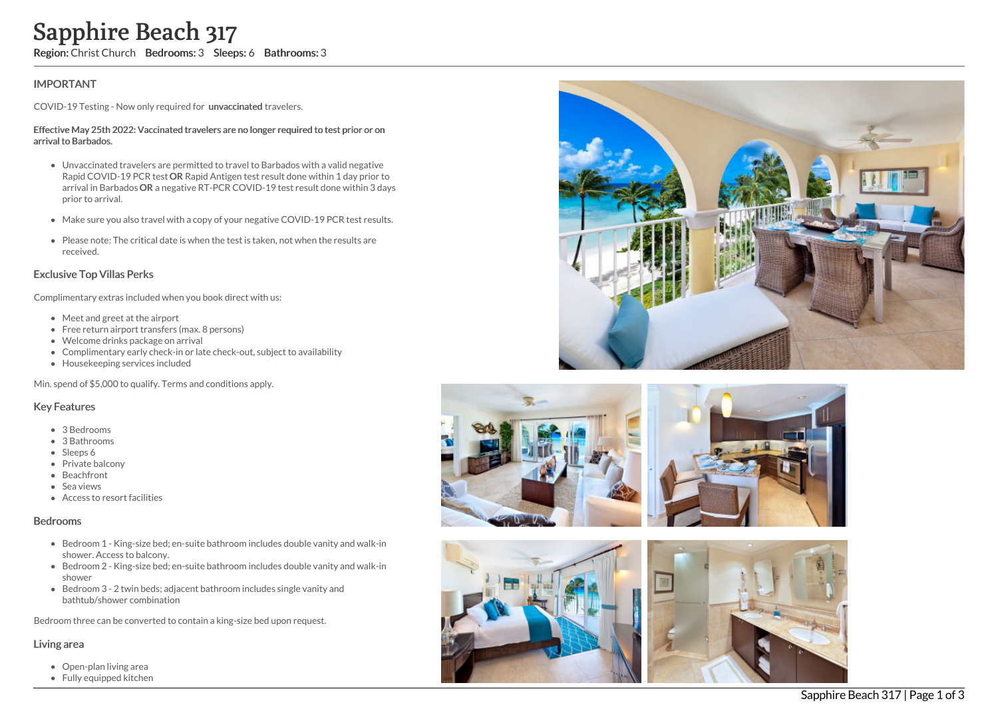# **IMPORTANT**

COVID-19 Testing - Now only required for unvaccinated travelers.

#### Effective May 25th 2022: Vaccinated travelers are no longer required to test prior or on arrival to Barbados.

- Unvaccinated travelers are permitted to travel to Barbados with a valid negative Rapid COVID-19 PCR test OR Rapid Antigen test result done within 1 day prior to arrival in Barbados OR a negative RT-PCR COVID-19 test result done within 3 days prior to arrival. **Sapphire Beach 317**<br> **Region:** Christ Church Bedrooms: 3 Sleeps: 6 Bathrooms: 3<br>
IMPORTANT<br>
COVID-19 Testing - Now only required for unvaccinated travelers.<br>
Effective May 25th 2022: Vacinated travelers are no longer requ
	- Make sure you also travel with a copy of your negative COVID-19 PCR test results.
	- Please note: The critical date is when the test is taken, not when the results are received.

## Exclusive Top Villas Perks

Complimentary extras included when you book direct with us:

- Meet and greet at the airport
- Free return airport transfers (max. 8 persons)
- Welcome drinks package on arrival
- Complimentary early check-in or late check-out, subject to availability
- Housekeeping services included

Min. spend of \$5,000 to qualify. Terms and conditions apply.

### Key Features

- 3 Bedrooms
- 3 Bathrooms
- Sleeps 6
- Private balcony
- Beachfront
- Sea views
- Access to resort facilities

#### Bedrooms

- Bedroom 1 King-size bed; en-suite bathroom includes double vanity and walk-in shower. Access to balcony.
- Bedroom 2 King-size bed; en-suite bathroom includes double vanity and walk-in shower
- Bedroom 3 2 twin beds; adjacent bathroom includes single vanity and bathtub/shower combination

Bedroom three can be converted to contain a king-size bed upon request.

#### Living area

- Open-plan living area
- 







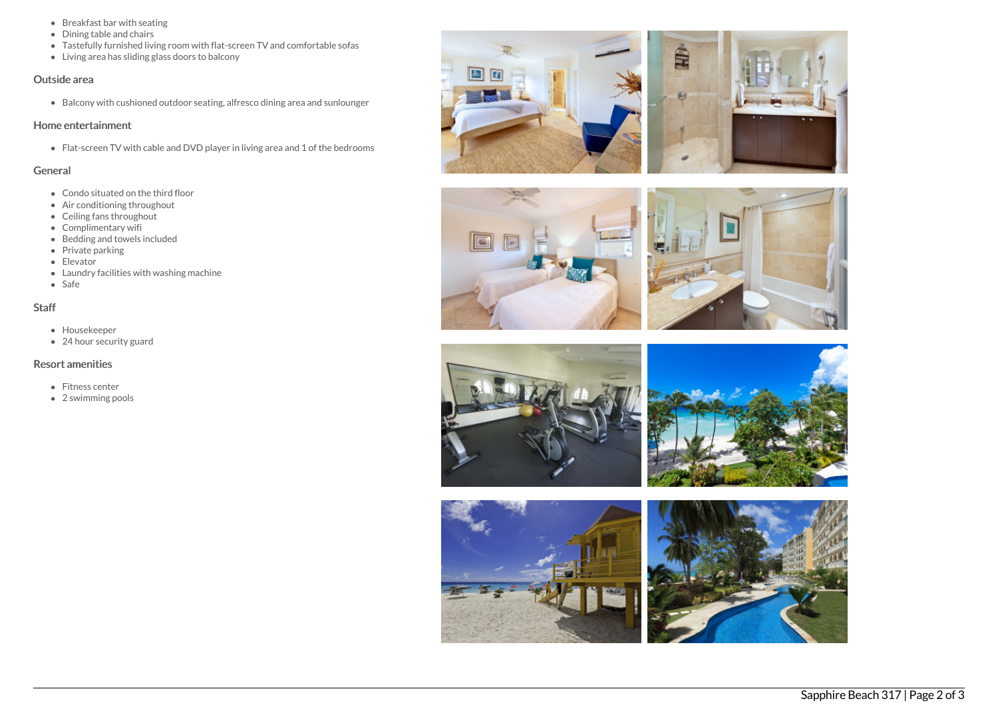- Breakfast bar with seating
- Dining table and chairs
- Tastefully furnished living room with flat-screen TV and comfortable sofas
- Living area has sliding glass doors to balcony

#### Outside area

Balcony with cushioned outdoor seating, alfresco dining area and sunlounger

# Home entertainment

Flat-screen TV with cable and DVD player in living area and 1 of the bedrooms

# General

- Condo situated on the third floor
- Air conditioning throughout
- Ceiling fans throughout
- Complimentary wifi
- $\bullet$  Bedding and towels included
- $\bullet$  Private parking
- Elevator
- Laundry facilities with washing machine
- Safe

# Staff

- Housekeeper
- 24 hour security guard

# Resort amenities

- Fitness center
- 2 swimming pools